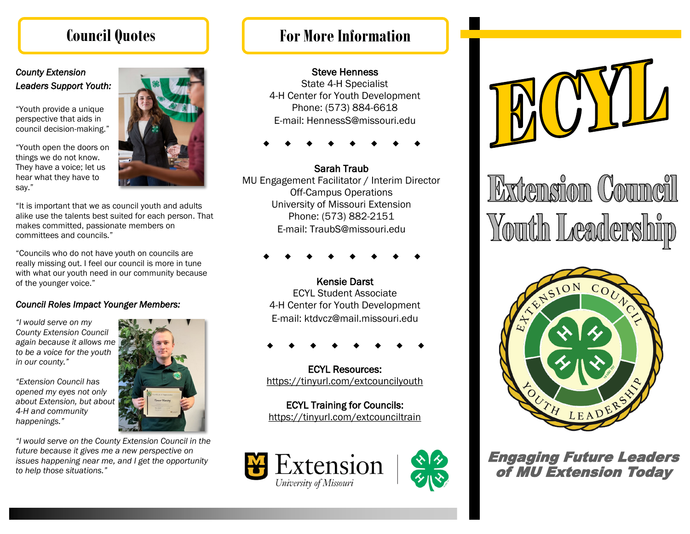### *County Extension Leaders Support Youth:*

"Youth provide a unique perspective that aids in council decision-making."

"Youth open the doors on things we do not know. They have a voice; let us hear what they have to say."



"It is important that we as council youth and adults alike use the talents best suited for each person. That makes committed, passionate members on committees and councils."

"Councils who do not have youth on councils are really missing out. I feel our council is more in tune with what our youth need in our community because of the younger voice."

### *Council Roles Impact Younger Members:*

*"I would serve on my County Extension Council again because it allows me to be a voice for the youth in our county."*

*"Extension Council has opened my eyes not only about Extension, but about 4-H and community happenings."*

*"I would serve on the County Extension Council in the future because it gives me a new perspective on issues happening near me, and I get the opportunity to help those situations."*

## **Council Quotes For More Information**

### Steve Henness

State 4-H Specialist 4-H Center for Youth Development Phone: (573) 884-6618 E-mail: HennessS@missouri.edu

Sarah Traub MU Engagement Facilitator / Interim Director Off-Campus Operations University of Missouri Extension Phone: (573) 882-2151 E-mail: TraubS@missouri.edu

Kensie Darst ECYL Student Associate 4-H Center for Youth Development E-mail: ktdvcz@mail.missouri.edu

ECYL Resources: https://tinyurl.com/extcouncilyouth

ECYL Training for Councils: https://tinyurl.com/extcounciltrain





Extension Council Youth Leadership



Engaging Future Leaders of MU Extension Today